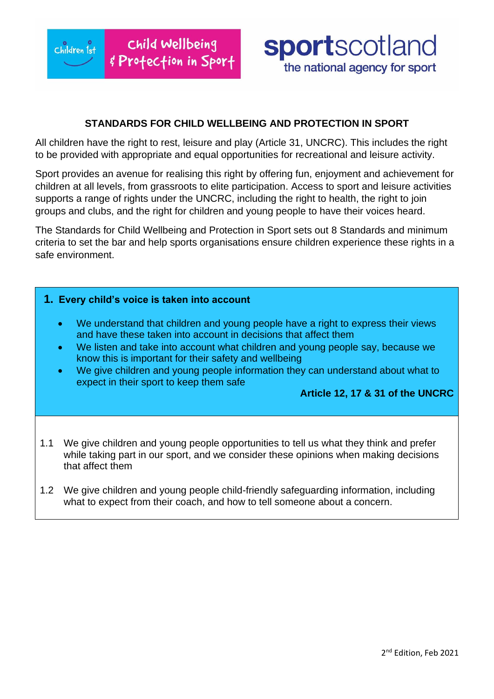$Chil$ dren  $1st$ 

# **sportscotland** the national agency for sport

## **STANDARDS FOR CHILD WELLBEING AND PROTECTION IN SPORT**

All children have the right to rest, leisure and play (Article 31, UNCRC). This includes the right to be provided with appropriate and equal opportunities for recreational and leisure activity.

Sport provides an avenue for realising this right by offering fun, enjoyment and achievement for children at all levels, from grassroots to elite participation. Access to sport and leisure activities supports a range of rights under the UNCRC, including the right to health, the right to join groups and clubs, and the right for children and young people to have their voices heard.

The Standards for Child Wellbeing and Protection in Sport sets out 8 Standards and minimum criteria to set the bar and help sports organisations ensure children experience these rights in a safe environment.

#### **1. Every child's voice is taken into account**

- We understand that children and young people have a right to express their views and have these taken into account in decisions that affect them
- We listen and take into account what children and young people say, because we know this is important for their safety and wellbeing
- We give children and young people information they can understand about what to expect in their sport to keep them safe

#### **Article 12, 17 & 31 of the UNCRC**

- 1.1 We give children and young people opportunities to tell us what they think and prefer while taking part in our sport, and we consider these opinions when making decisions that affect them
- 1.2 We give children and young people child-friendly safeguarding information, including what to expect from their coach, and how to tell someone about a concern.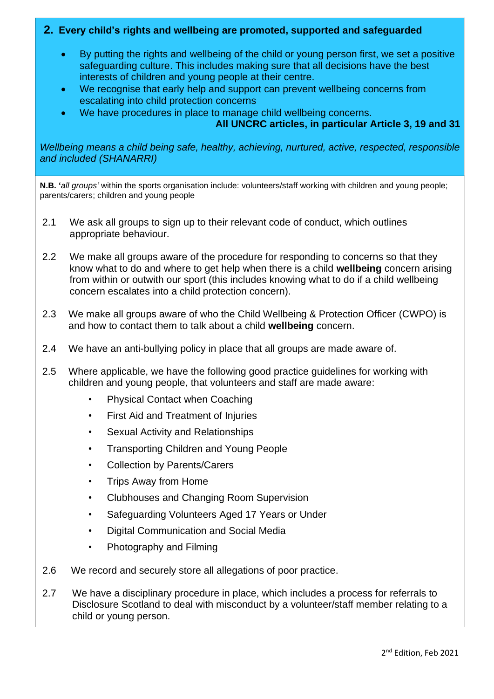## **2. Every child's rights and wellbeing are promoted, supported and safeguarded**

- By putting the rights and wellbeing of the child or young person first, we set a positive safeguarding culture. This includes making sure that all decisions have the best interests of children and young people at their centre.
- We recognise that early help and support can prevent wellbeing concerns from escalating into child protection concerns
- We have procedures in place to manage child wellbeing concerns.

#### **All UNCRC articles, in particular Article 3, 19 and 31**

*Wellbeing means a child being safe, healthy, achieving, nurtured, active, respected, responsible and included (SHANARRI)*

**N.B. '***all groups'* within the sports organisation include: volunteers/staff working with children and young people; parents/carers; children and young people

- 2.1 We ask all groups to sign up to their relevant code of conduct, which outlines appropriate behaviour.
- 2.2 We make all groups aware of the procedure for responding to concerns so that they know what to do and where to get help when there is a child **wellbeing** concern arising from within or outwith our sport (this includes knowing what to do if a child wellbeing concern escalates into a child protection concern).
- 2.3 We make all groups aware of who the Child Wellbeing & Protection Officer (CWPO) is and how to contact them to talk about a child **wellbeing** concern.
- 2.4 We have an anti-bullying policy in place that all groups are made aware of.
- 2.5 Where applicable, we have the following good practice guidelines for working with children and young people, that volunteers and staff are made aware:
	- Physical Contact when Coaching
	- First Aid and Treatment of Injuries
	- Sexual Activity and Relationships
	- Transporting Children and Young People
	- Collection by Parents/Carers
	- Trips Away from Home
	- Clubhouses and Changing Room Supervision
	- Safeguarding Volunteers Aged 17 Years or Under
	- Digital Communication and Social Media
	- Photography and Filming
- 2.6 We record and securely store all allegations of poor practice.
- 2.7 We have a disciplinary procedure in place, which includes a process for referrals to Disclosure Scotland to deal with misconduct by a volunteer/staff member relating to a child or young person.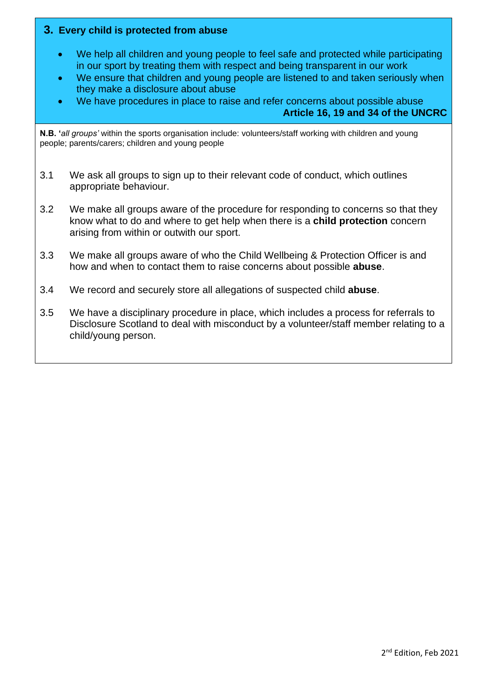### **3. Every child is protected from abuse**

- We help all children and young people to feel safe and protected while participating in our sport by treating them with respect and being transparent in our work
- We ensure that children and young people are listened to and taken seriously when they make a disclosure about abuse
- We have procedures in place to raise and refer concerns about possible abuse

**Article 16, 19 and 34 of the UNCRC**

**N.B. '***all groups'* within the sports organisation include: volunteers/staff working with children and young people; parents/carers; children and young people

- 3.1 We ask all groups to sign up to their relevant code of conduct, which outlines appropriate behaviour.
- 3.2 We make all groups aware of the procedure for responding to concerns so that they know what to do and where to get help when there is a **child protection** concern arising from within or outwith our sport.
- 3.3 We make all groups aware of who the Child Wellbeing & Protection Officer is and how and when to contact them to raise concerns about possible **abuse**.
- 3.4 We record and securely store all allegations of suspected child **abuse**.
- 3.5 We have a disciplinary procedure in place, which includes a process for referrals to Disclosure Scotland to deal with misconduct by a volunteer/staff member relating to a child/young person.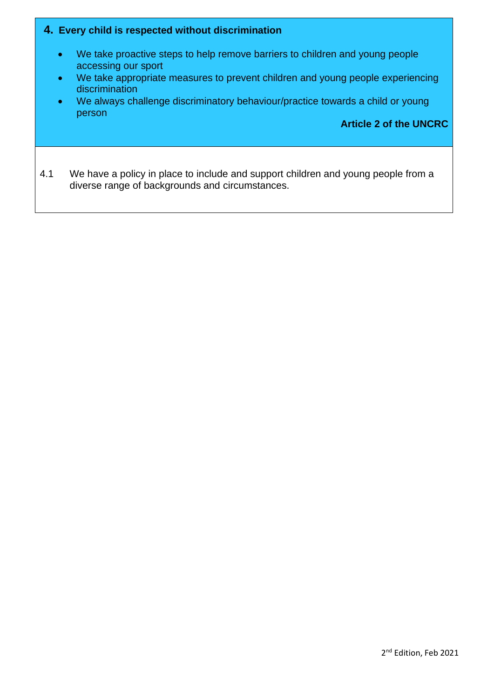#### **4. Every child is respected without discrimination**

- We take proactive steps to help remove barriers to children and young people accessing our sport
- We take appropriate measures to prevent children and young people experiencing discrimination
- We always challenge discriminatory behaviour/practice towards a child or young person

#### **Article 2 of the UNCRC**

4.1 We have a policy in place to include and support children and young people from a diverse range of backgrounds and circumstances.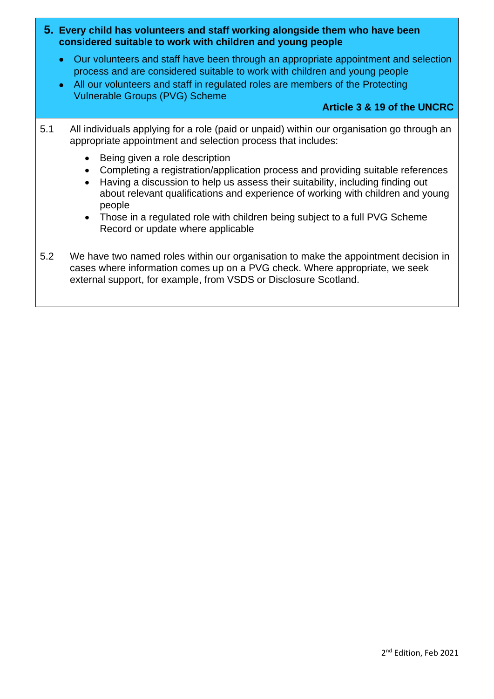- **5. Every child has volunteers and staff working alongside them who have been considered suitable to work with children and young people**
	- Our volunteers and staff have been through an appropriate appointment and selection process and are considered suitable to work with children and young people
	- All our volunteers and staff in regulated roles are members of the Protecting Vulnerable Groups (PVG) Scheme

### **Article 3 & 19 of the UNCRC**

- 5.1 All individuals applying for a role (paid or unpaid) within our organisation go through an appropriate appointment and selection process that includes:
	- Being given a role description
	- Completing a registration/application process and providing suitable references
	- Having a discussion to help us assess their suitability, including finding out about relevant qualifications and experience of working with children and young people
	- Those in a regulated role with children being subject to a full PVG Scheme Record or update where applicable
- 5.2 We have two named roles within our organisation to make the appointment decision in cases where information comes up on a PVG check. Where appropriate, we seek external support, for example, from VSDS or Disclosure Scotland.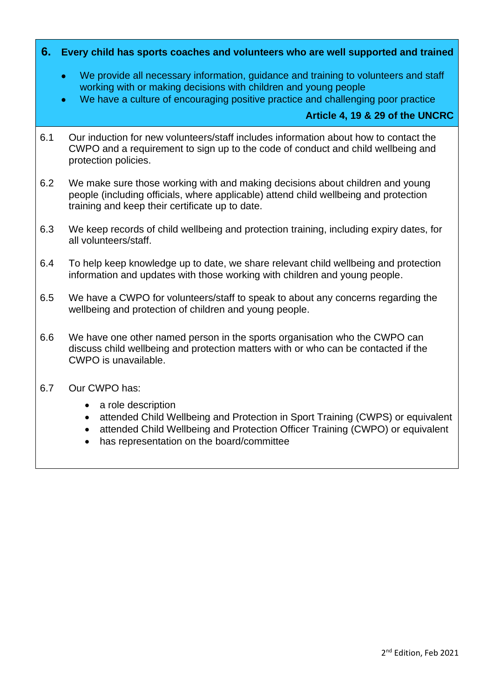#### **6. Every child has sports coaches and volunteers who are well supported and trained**

- We provide all necessary information, guidance and training to volunteers and staff working with or making decisions with children and young people
- We have a culture of encouraging positive practice and challenging poor practice

#### **Article 4, 19 & 29 of the UNCRC**

- 6.1 Our induction for new volunteers/staff includes information about how to contact the CWPO and a requirement to sign up to the code of conduct and child wellbeing and protection policies.
- 6.2 We make sure those working with and making decisions about children and young people (including officials, where applicable) attend child wellbeing and protection training and keep their certificate up to date.
- 6.3 We keep records of child wellbeing and protection training, including expiry dates, for all volunteers/staff.
- 6.4 To help keep knowledge up to date, we share relevant child wellbeing and protection information and updates with those working with children and young people.
- 6.5 We have a CWPO for volunteers/staff to speak to about any concerns regarding the wellbeing and protection of children and young people.
- 6.6 We have one other named person in the sports organisation who the CWPO can discuss child wellbeing and protection matters with or who can be contacted if the CWPO is unavailable.
- 6.7 Our CWPO has:
	- a role description
	- attended Child Wellbeing and Protection in Sport Training (CWPS) or equivalent
	- attended Child Wellbeing and Protection Officer Training (CWPO) or equivalent
	- has representation on the board/committee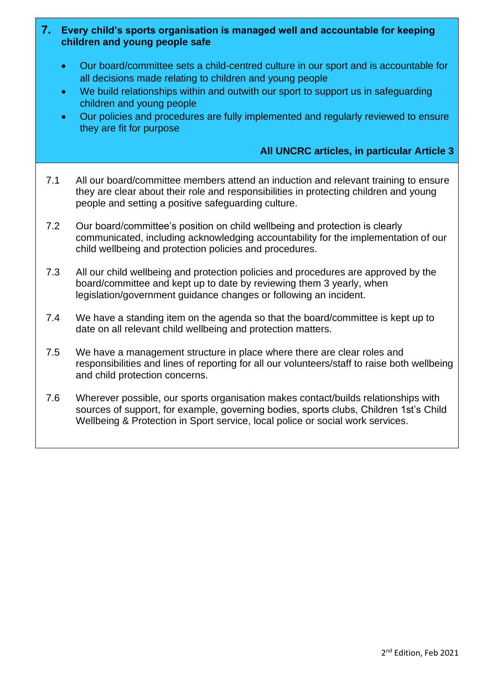### **7. Every child's sports organisation is managed well and accountable for keeping children and young people safe**

- Our board/committee sets a child-centred culture in our sport and is accountable for all decisions made relating to children and young people
- We build relationships within and outwith our sport to support us in safeguarding children and young people
- Our policies and procedures are fully implemented and regularly reviewed to ensure they are fit for purpose

## **All UNCRC articles, in particular Article 3**

- 7.1 All our board/committee members attend an induction and relevant training to ensure they are clear about their role and responsibilities in protecting children and young people and setting a positive safeguarding culture.
- 7.2 Our board/committee's position on child wellbeing and protection is clearly communicated, including acknowledging accountability for the implementation of our child wellbeing and protection policies and procedures.
- 7.3 All our child wellbeing and protection policies and procedures are approved by the board/committee and kept up to date by reviewing them 3 yearly, when legislation/government guidance changes or following an incident.
- 7.4 We have a standing item on the agenda so that the board/committee is kept up to date on all relevant child wellbeing and protection matters.
- 7.5 We have a management structure in place where there are clear roles and responsibilities and lines of reporting for all our volunteers/staff to raise both wellbeing and child protection concerns.
- 7.6 Wherever possible, our sports organisation makes contact/builds relationships with sources of support, for example, governing bodies, sports clubs, Children 1st's Child Wellbeing & Protection in Sport service, local police or social work services.